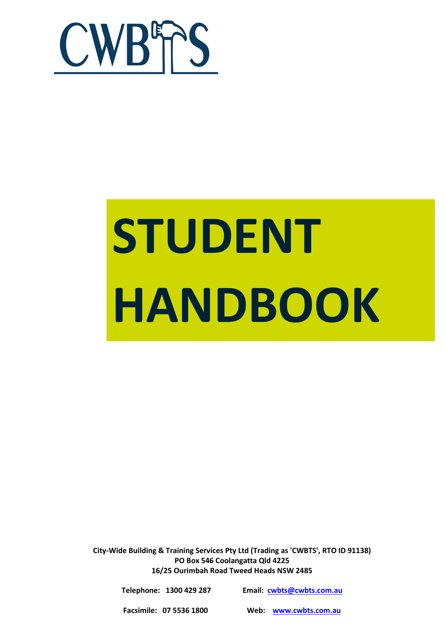

# **STUDENT HANDBOOK**

**City-Wide Building & Training Services Pty Ltd (Trading as 'CWBTS', RTO ID 91138) PO Box 546 Coolangatta Qld 4225 16/25 Ourimbah Road Tweed Heads NSW 2485**

| Telephone: 1300 429 287 | Email: cwbts@cwbts.com.au |
|-------------------------|---------------------------|
| Facsimile: 07 5536 1800 | Web: www.cwbts.com.au     |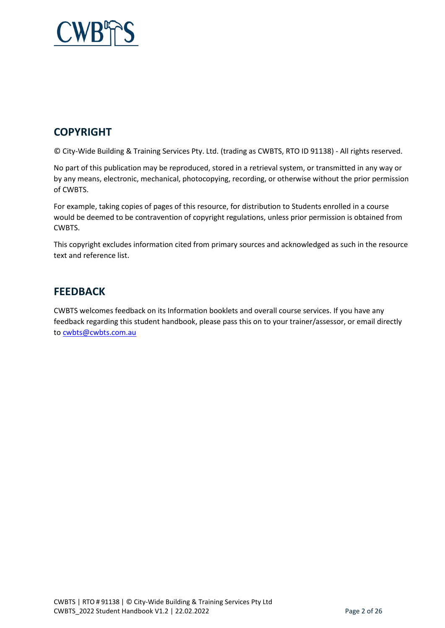

## **COPYRIGHT**

© City-Wide Building & Training Services Pty. Ltd. (trading as CWBTS, RTO ID 91138) - All rights reserved.

No part of this publication may be reproduced, stored in a retrieval system, or transmitted in any way or by any means, electronic, mechanical, photocopying, recording, or otherwise without the prior permission of CWBTS.

For example, taking copies of pages of this resource, for distribution to Students enrolled in a course would be deemed to be contravention of copyright regulations, unless prior permission is obtained from CWBTS.

This copyright excludes information cited from primary sources and acknowledged as such in the resource text and reference list.

## **FEEDBACK**

CWBTS welcomes feedback on its Information booklets and overall course services. If you have any feedback regarding this student handbook, please pass this on to your trainer/assessor, or email directly to [cwbts@cwbts.com.au](mailto:cwbts@cwbts.com.au)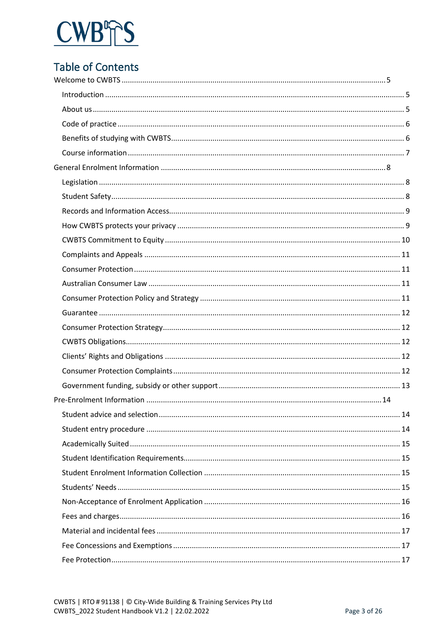

# **Table of Contents**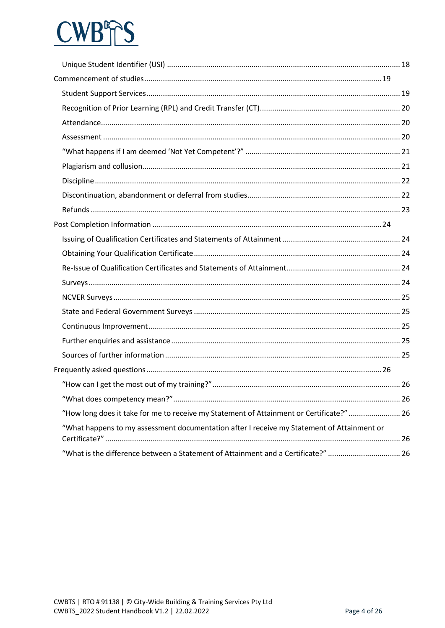# **CWB**  $\mathbb{T}^{\mathsf{S}}$

| "How long does it take for me to receive my Statement of Attainment or Certificate?"  26   |  |
|--------------------------------------------------------------------------------------------|--|
| "What happens to my assessment documentation after I receive my Statement of Attainment or |  |
|                                                                                            |  |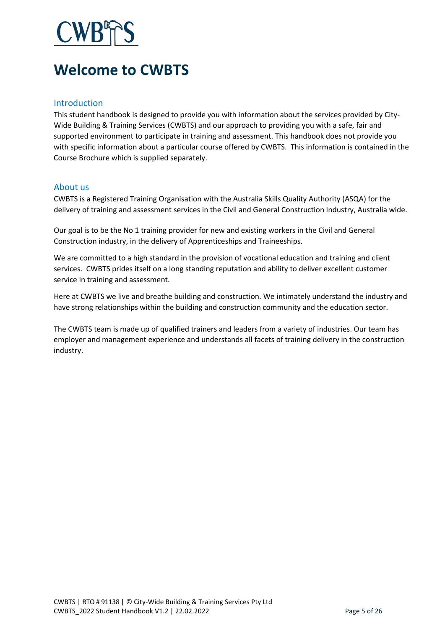# <span id="page-4-0"></span>**Welcome to CWBTS**

#### <span id="page-4-1"></span>Introduction

This student handbook is designed to provide you with information about the services provided by City-Wide Building & Training Services (CWBTS) and our approach to providing you with a safe, fair and supported environment to participate in training and assessment. This handbook does not provide you with specific information about a particular course offered by CWBTS. This information is contained in the Course Brochure which is supplied separately.

#### <span id="page-4-2"></span>About us

CWBTS is a Registered Training Organisation with the Australia Skills Quality Authority (ASQA) for the delivery of training and assessment services in the Civil and General Construction Industry, Australia wide.

Our goal is to be the No 1 training provider for new and existing workers in the Civil and General Construction industry, in the delivery of Apprenticeships and Traineeships.

We are committed to a high standard in the provision of vocational education and training and client services. CWBTS prides itself on a long standing reputation and ability to deliver excellent customer service in training and assessment.

Here at CWBTS we live and breathe building and construction. We intimately understand the industry and have strong relationships within the building and construction community and the education sector.

The CWBTS team is made up of qualified trainers and leaders from a variety of industries. Our team has employer and management experience and understands all facets of training delivery in the construction industry.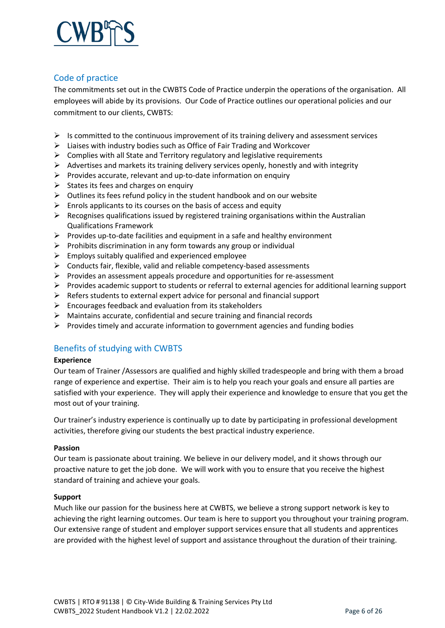

#### <span id="page-5-0"></span>Code of practice

The commitments set out in the CWBTS Code of Practice underpin the operations of the organisation. All employees will abide by its provisions. Our Code of Practice outlines our operational policies and our commitment to our clients, CWBTS:

- $\triangleright$  Is committed to the continuous improvement of its training delivery and assessment services
- Liaises with industry bodies such as Office of Fair Trading and Workcover
- $\triangleright$  Complies with all State and Territory regulatory and legislative requirements
- $\triangleright$  Advertises and markets its training delivery services openly, honestly and with integrity
- $\triangleright$  Provides accurate, relevant and up-to-date information on enquiry
- $\triangleright$  States its fees and charges on enquiry
- $\triangleright$  Outlines its fees refund policy in the student handbook and on our website
- $\triangleright$  Enrols applicants to its courses on the basis of access and equity
- $\triangleright$  Recognises qualifications issued by registered training organisations within the Australian Qualifications Framework
- $\triangleright$  Provides up-to-date facilities and equipment in a safe and healthy environment
- $\triangleright$  Prohibits discrimination in any form towards any group or individual
- $\triangleright$  Employs suitably qualified and experienced employee
- $\triangleright$  Conducts fair, flexible, valid and reliable competency-based assessments
- $\triangleright$  Provides an assessment appeals procedure and opportunities for re-assessment
- Provides academic support to students or referral to external agencies for additional learning support
- $\triangleright$  Refers students to external expert advice for personal and financial support
- $\triangleright$  Encourages feedback and evaluation from its stakeholders
- $\triangleright$  Maintains accurate, confidential and secure training and financial records
- $\triangleright$  Provides timely and accurate information to government agencies and funding bodies

#### <span id="page-5-1"></span>Benefits of studying with CWBTS

#### **Experience**

Our team of Trainer /Assessors are qualified and highly skilled tradespeople and bring with them a broad range of experience and expertise. Their aim is to help you reach your goals and ensure all parties are satisfied with your experience. They will apply their experience and knowledge to ensure that you get the most out of your training.

Our trainer's industry experience is continually up to date by participating in professional development activities, therefore giving our students the best practical industry experience.

#### **Passion**

Our team is passionate about training. We believe in our delivery model, and it shows through our proactive nature to get the job done. We will work with you to ensure that you receive the highest standard of training and achieve your goals.

#### **Support**

Much like our passion for the business here at CWBTS, we believe a strong support network is key to achieving the right learning outcomes. Our team is here to support you throughout your training program. Our extensive range of student and employer support services ensure that all students and apprentices are provided with the highest level of support and assistance throughout the duration of their training.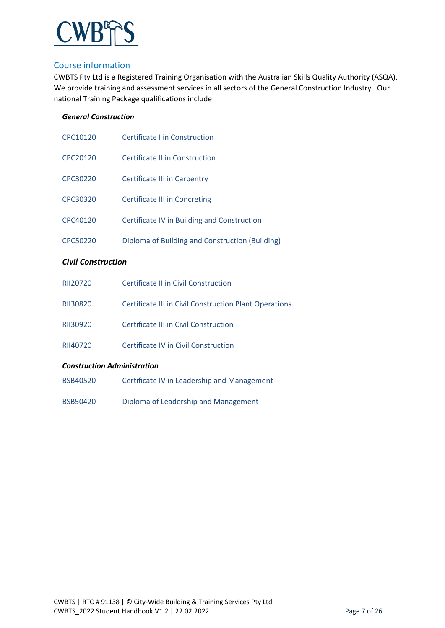

#### <span id="page-6-0"></span>Course information

CWBTS Pty Ltd is a Registered Training Organisation with the Australian Skills Quality Authority (ASQA). We provide training and assessment services in all sectors of the General Construction Industry. Our national Training Package qualifications include:

#### *General Construction*

| CPC10120 | Certificate Lin Construction                    |
|----------|-------------------------------------------------|
| CPC20120 | Certificate II in Construction                  |
| CPC30220 | Certificate III in Carpentry                    |
| CPC30320 | Certificate III in Concreting                   |
| CPC40120 | Certificate IV in Building and Construction     |
| CPC50220 | Diploma of Building and Construction (Building) |

#### *Civil Construction*

| RII20720                           | Certificate II in Civil Construction                   |  |
|------------------------------------|--------------------------------------------------------|--|
| RII30820                           | Certificate III in Civil Construction Plant Operations |  |
| RII30920                           | Certificate III in Civil Construction                  |  |
| RII40720                           | Certificate IV in Civil Construction                   |  |
| <b>Construction Administration</b> |                                                        |  |
| <b>BSB40520</b>                    | Certificate IV in Leadership and Management            |  |
|                                    |                                                        |  |

BSB50420 Diploma of Leadership and Management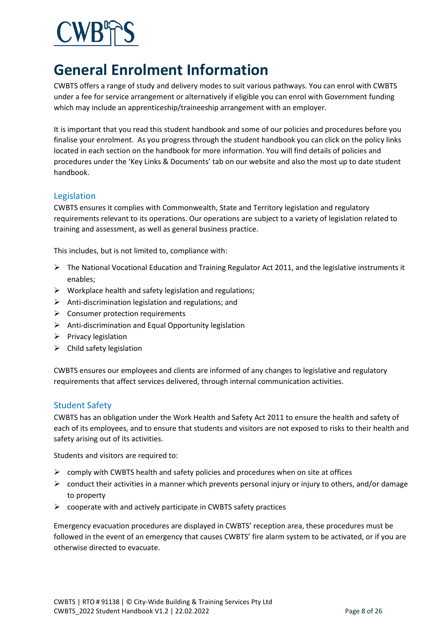# <span id="page-7-0"></span>**General Enrolment Information**

CWBTS offers a range of study and delivery modes to suit various pathways. You can enrol with CWBTS under a fee for service arrangement or alternatively if eligible you can enrol with Government funding which may include an apprenticeship/traineeship arrangement with an employer.

It is important that you read this student handbook and some of our policies and procedures before you finalise your enrolment. As you progress through the student handbook you can click on the policy links located in each section on the handbook for more information. You will find details of policies and procedures under the 'Key Links & Documents' tab on our website and also the most up to date student handbook.

#### <span id="page-7-1"></span>Legislation

CWBTS ensures it complies with Commonwealth, State and Territory legislation and regulatory requirements relevant to its operations. Our operations are subject to a variety of legislation related to training and assessment, as well as general business practice.

This includes, but is not limited to, compliance with:

- $\triangleright$  The National Vocational Education and Training Regulator Act 2011, and the legislative instruments it enables;
- $\triangleright$  Workplace health and safety legislation and regulations;
- $\triangleright$  Anti-discrimination legislation and regulations; and
- $\triangleright$  Consumer protection requirements
- $\triangleright$  Anti-discrimination and Equal Opportunity legislation
- $\triangleright$  Privacy legislation
- $\triangleright$  Child safety legislation

CWBTS ensures our employees and clients are informed of any changes to legislative and regulatory requirements that affect services delivered, through internal communication activities.

#### <span id="page-7-2"></span>Student Safety

CWBTS has an obligation under the Work Health and Safety Act 2011 to ensure the health and safety of each of its employees, and to ensure that students and visitors are not exposed to risks to their health and safety arising out of its activities.

Students and visitors are required to:

- $\triangleright$  comply with CWBTS health and safety policies and procedures when on site at offices
- $\triangleright$  conduct their activities in a manner which prevents personal injury or injury to others, and/or damage to property
- $\triangleright$  cooperate with and actively participate in CWBTS safety practices

Emergency evacuation procedures are displayed in CWBTS' reception area, these procedures must be followed in the event of an emergency that causes CWBTS' fire alarm system to be activated, or if you are otherwise directed to evacuate.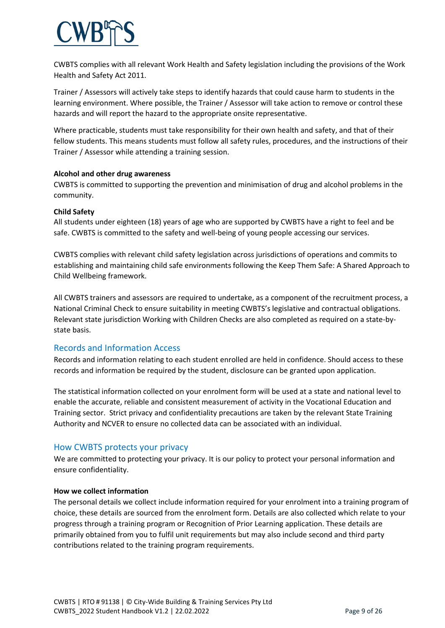CWBTS complies with all relevant Work Health and Safety legislation including the provisions of the Work Health and Safety Act 2011.

Trainer / Assessors will actively take steps to identify hazards that could cause harm to students in the learning environment. Where possible, the Trainer / Assessor will take action to remove or control these hazards and will report the hazard to the appropriate onsite representative.

Where practicable, students must take responsibility for their own health and safety, and that of their fellow students. This means students must follow all safety rules, procedures, and the instructions of their Trainer / Assessor while attending a training session.

#### **Alcohol and other drug awareness**

CWBTS is committed to supporting the prevention and minimisation of drug and alcohol problems in the community.

#### **Child Safety**

All students under eighteen (18) years of age who are supported by CWBTS have a right to feel and be safe. CWBTS is committed to the safety and well-being of young people accessing our services.

CWBTS complies with relevant child safety legislation across jurisdictions of operations and commits to establishing and maintaining child safe environments following the Keep Them Safe: A Shared Approach to Child Wellbeing framework.

All CWBTS trainers and assessors are required to undertake, as a component of the recruitment process, a National Criminal Check to ensure suitability in meeting CWBTS's legislative and contractual obligations. Relevant state jurisdiction Working with Children Checks are also completed as required on a state-bystate basis.

#### <span id="page-8-0"></span>Records and Information Access

Records and information relating to each student enrolled are held in confidence. Should access to these records and information be required by the student, disclosure can be granted upon application.

The statistical information collected on your enrolment form will be used at a state and national level to enable the accurate, reliable and consistent measurement of activity in the Vocational Education and Training sector. Strict privacy and confidentiality precautions are taken by the relevant State Training Authority and NCVER to ensure no collected data can be associated with an individual.

#### <span id="page-8-1"></span>How CWBTS protects your privacy

We are committed to protecting your privacy. It is our policy to protect your personal information and ensure confidentiality.

#### **How we collect information**

The personal details we collect include information required for your enrolment into a training program of choice, these details are sourced from the enrolment form. Details are also collected which relate to your progress through a training program or Recognition of Prior Learning application. These details are primarily obtained from you to fulfil unit requirements but may also include second and third party contributions related to the training program requirements.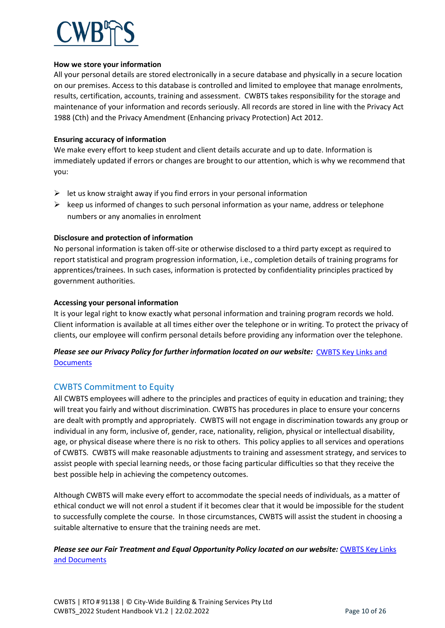#### **How we store your information**

All your personal details are stored electronically in a secure database and physically in a secure location on our premises. Access to this database is controlled and limited to employee that manage enrolments, results, certification, accounts, training and assessment. CWBTS takes responsibility for the storage and maintenance of your information and records seriously. All records are stored in line with the Privacy Act 1988 (Cth) and the Privacy Amendment (Enhancing privacy Protection) Act 2012.

#### **Ensuring accuracy of information**

We make every effort to keep student and client details accurate and up to date. Information is immediately updated if errors or changes are brought to our attention, which is why we recommend that you:

- $\triangleright$  let us know straight away if you find errors in your personal information
- $\triangleright$  keep us informed of changes to such personal information as your name, address or telephone numbers or any anomalies in enrolment

#### **Disclosure and protection of information**

No personal information is taken off-site or otherwise disclosed to a third party except as required to report statistical and program progression information, i.e., completion details of training programs for apprentices/trainees. In such cases, information is protected by confidentiality principles practiced by government authorities.

#### **Accessing your personal information**

It is your legal right to know exactly what personal information and training program records we hold. Client information is available at all times either over the telephone or in writing. To protect the privacy of clients, our employee will confirm personal details before providing any information over the telephone.

#### *Please see our Privacy Policy for further information located on our website:* [CWBTS Key Links and](https://cwbts.com.au/key-links-and-documents/)  **Documents**

#### <span id="page-9-0"></span>CWBTS Commitment to Equity

All CWBTS employees will adhere to the principles and practices of equity in education and training; they will treat you fairly and without discrimination. CWBTS has procedures in place to ensure your concerns are dealt with promptly and appropriately. CWBTS will not engage in discrimination towards any group or individual in any form, inclusive of, gender, race, nationality, religion, physical or intellectual disability, age, or physical disease where there is no risk to others. This policy applies to all services and operations of CWBTS. CWBTS will make reasonable adjustments to training and assessment strategy, and services to assist people with special learning needs, or those facing particular difficulties so that they receive the best possible help in achieving the competency outcomes.

Although CWBTS will make every effort to accommodate the special needs of individuals, as a matter of ethical conduct we will not enrol a student if it becomes clear that it would be impossible for the student to successfully complete the course. In those circumstances, CWBTS will assist the student in choosing a suitable alternative to ensure that the training needs are met.

#### *Please see our Fair Treatment and Equal Opportunity Policy located on our website:* [CWBTS Key Links](https://cwbts.com.au/key-links-and-documents/)  [and Documents](https://cwbts.com.au/key-links-and-documents/)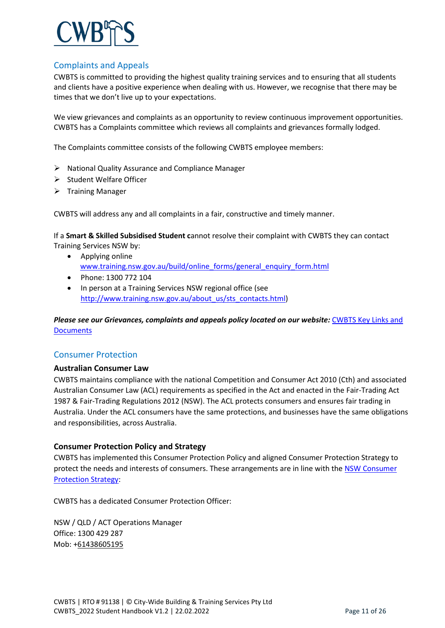

#### <span id="page-10-0"></span>Complaints and Appeals

CWBTS is committed to providing the highest quality training services and to ensuring that all students and clients have a positive experience when dealing with us. However, we recognise that there may be times that we don't live up to your expectations.

We view grievances and complaints as an opportunity to review continuous improvement opportunities. CWBTS has a Complaints committee which reviews all complaints and grievances formally lodged.

The Complaints committee consists of the following CWBTS employee members:

- $\triangleright$  National Quality Assurance and Compliance Manager
- $\triangleright$  Student Welfare Officer
- $\triangleright$  Training Manager

CWBTS will address any and all complaints in a fair, constructive and timely manner.

If a **Smart & Skilled Subsidised Student c**annot resolve their complaint with CWBTS they can contact Training Services NSW by:

- Applying online [www.training.nsw.gov.au/build/online\\_forms/general\\_enquiry\\_form.html](http://www.training.nsw.gov.au/build/online_forms/general_enquiry_form.html)
- Phone: 1300 772 104
- In person at a Training Services NSW regional office (see [http://www.training.nsw.gov.au/about\\_us/sts\\_contacts.html\)](http://www.training.nsw.gov.au/about_us/sts_contacts.html)

*Please see our Grievances, complaints and appeals policy located on our website:* [CWBTS Key Links and](https://cwbts.com.au/key-links-and-documents/)  **Documents** 

#### <span id="page-10-1"></span>Consumer Protection

#### <span id="page-10-2"></span>**Australian Consumer Law**

CWBTS maintains compliance with the national Competition and Consumer Act 2010 (Cth) and associated Australian Consumer Law (ACL) requirements as specified in the Act and enacted in the Fair-Trading Act 1987 & Fair-Trading Regulations 2012 (NSW). The ACL protects consumers and ensures fair trading in Australia. Under the ACL consumers have the same protections, and businesses have the same obligations and responsibilities, across Australia.

#### <span id="page-10-3"></span>**Consumer Protection Policy and Strategy**

CWBTS has implemented this Consumer Protection Policy and aligned Consumer Protection Strategy to protect the needs and interests of consumers. These arrangements are in line with the [NSW Consumer](http://www.training.nsw.gov.au/forms_documents/smartandskilled/contract/consumer_protection_strategy.pdf)  [Protection Strategy:](http://www.training.nsw.gov.au/forms_documents/smartandskilled/contract/consumer_protection_strategy.pdf)

CWBTS has a dedicated Consumer Protection Officer:

NSW / QLD / ACT Operations Manager Office: 1300 429 287 Mob: +61438605195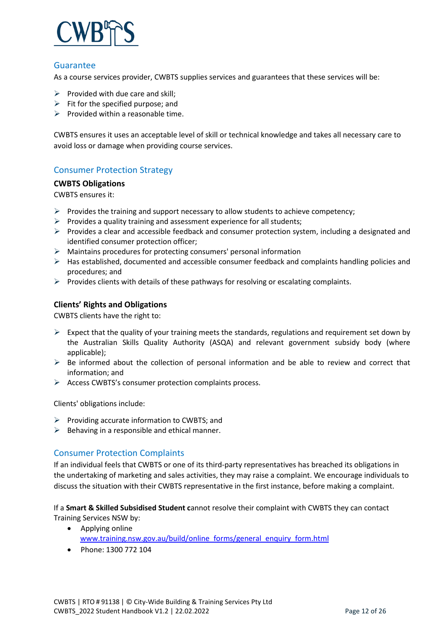

#### <span id="page-11-0"></span>Guarantee

As a course services provider, CWBTS supplies services and guarantees that these services will be:

- $\triangleright$  Provided with due care and skill;
- $\triangleright$  Fit for the specified purpose; and
- $\triangleright$  Provided within a reasonable time.

CWBTS ensures it uses an acceptable level of skill or technical knowledge and takes all necessary care to avoid loss or damage when providing course services.

#### <span id="page-11-1"></span>Consumer Protection Strategy

#### <span id="page-11-2"></span>**CWBTS Obligations**

CWBTS ensures it:

- $\triangleright$  Provides the training and support necessary to allow students to achieve competency;
- $\triangleright$  Provides a quality training and assessment experience for all students;
- $\triangleright$  Provides a clear and accessible feedback and consumer protection system, including a designated and identified consumer protection officer;
- $\triangleright$  Maintains procedures for protecting consumers' personal information
- $\triangleright$  Has established, documented and accessible consumer feedback and complaints handling policies and procedures; and
- $\triangleright$  Provides clients with details of these pathways for resolving or escalating complaints.

#### <span id="page-11-3"></span>**Clients' Rights and Obligations**

CWBTS clients have the right to:

- $\triangleright$  Expect that the quality of your training meets the standards, regulations and requirement set down by the Australian Skills Quality Authority (ASQA) and relevant government subsidy body (where applicable);
- $\triangleright$  Be informed about the collection of personal information and be able to review and correct that information; and
- $\triangleright$  Access CWBTS's consumer protection complaints process.

Clients' obligations include:

- $\triangleright$  Providing accurate information to CWBTS; and
- $\triangleright$  Behaving in a responsible and ethical manner.

#### <span id="page-11-4"></span>Consumer Protection Complaints

If an individual feels that CWBTS or one of its third-party representatives has breached its obligations in the undertaking of marketing and sales activities, they may raise a complaint. We encourage individuals to discuss the situation with their CWBTS representative in the first instance, before making a complaint.

If a **Smart & Skilled Subsidised Student c**annot resolve their complaint with CWBTS they can contact Training Services NSW by:

- Applying online [www.training.nsw.gov.au/build/online\\_forms/general\\_enquiry\\_form.html](http://www.training.nsw.gov.au/build/online_forms/general_enquiry_form.html)
- Phone: 1300 772 104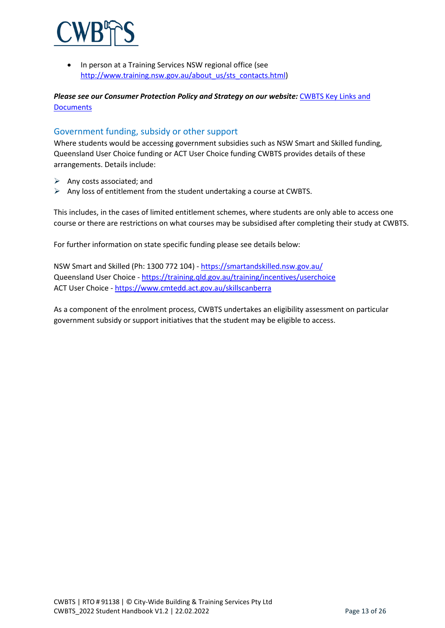

In person at a Training Services NSW regional office (see [http://www.training.nsw.gov.au/about\\_us/sts\\_contacts.html\)](http://www.training.nsw.gov.au/about_us/sts_contacts.html)

*Please see our Consumer Protection Policy and Strategy on our website:* [CWBTS Key Links and](https://cwbts.com.au/key-links-and-documents/)  **Documents** 

#### <span id="page-12-0"></span>Government funding, subsidy or other support

Where students would be accessing government subsidies such as NSW Smart and Skilled funding, Queensland User Choice funding or ACT User Choice funding CWBTS provides details of these arrangements. Details include:

- $\triangleright$  Any costs associated; and
- $\triangleright$  Any loss of entitlement from the student undertaking a course at CWBTS.

This includes, in the cases of limited entitlement schemes, where students are only able to access one course or there are restrictions on what courses may be subsidised after completing their study at CWBTS.

For further information on state specific funding please see details below:

NSW Smart and Skilled (Ph: 1300 772 104) - <https://smartandskilled.nsw.gov.au/> Queensland User Choice - <https://training.qld.gov.au/training/incentives/userchoice> ACT User Choice - <https://www.cmtedd.act.gov.au/skillscanberra>

As a component of the enrolment process, CWBTS undertakes an eligibility assessment on particular government subsidy or support initiatives that the student may be eligible to access.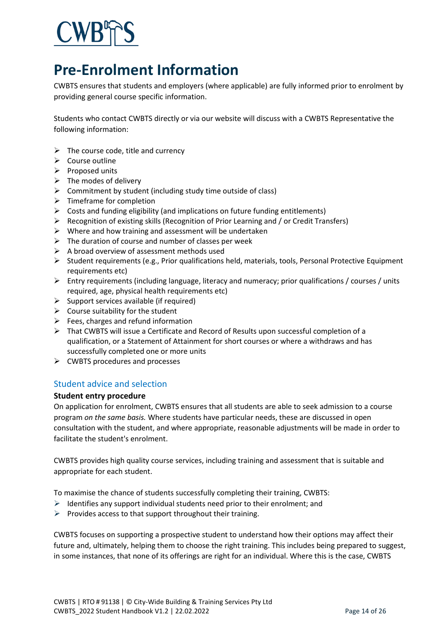# <span id="page-13-0"></span>**Pre-Enrolment Information**

CWBTS ensures that students and employers (where applicable) are fully informed prior to enrolment by providing general course specific information.

Students who contact CWBTS directly or via our website will discuss with a CWBTS Representative the following information:

- $\triangleright$  The course code, title and currency
- $\triangleright$  Course outline
- $\triangleright$  Proposed units
- $\triangleright$  The modes of delivery
- $\triangleright$  Commitment by student (including study time outside of class)
- $\triangleright$  Timeframe for completion
- $\triangleright$  Costs and funding eligibility (and implications on future funding entitlements)
- Recognition of existing skills (Recognition of Prior Learning and / or Credit Transfers)
- $\triangleright$  Where and how training and assessment will be undertaken
- $\triangleright$  The duration of course and number of classes per week
- $\triangleright$  A broad overview of assessment methods used
- $\triangleright$  Student requirements (e.g., Prior qualifications held, materials, tools, Personal Protective Equipment requirements etc)
- $\triangleright$  Entry requirements (including language, literacy and numeracy; prior qualifications / courses / units required, age, physical health requirements etc)
- $\triangleright$  Support services available (if required)
- $\triangleright$  Course suitability for the student
- $\triangleright$  Fees, charges and refund information
- $\triangleright$  That CWBTS will issue a Certificate and Record of Results upon successful completion of a qualification, or a Statement of Attainment for short courses or where a withdraws and has successfully completed one or more units
- $\triangleright$  CWBTS procedures and processes

#### <span id="page-13-1"></span>Student advice and selection

#### <span id="page-13-2"></span>**Student entry procedure**

On application for enrolment, CWBTS ensures that all students are able to seek admission to a course program *on the same basis.* Where students have particular needs, these are discussed in open consultation with the student, and where appropriate, reasonable adjustments will be made in order to facilitate the student's enrolment.

CWBTS provides high quality course services, including training and assessment that is suitable and appropriate for each student.

To maximise the chance of students successfully completing their training, CWBTS:

- $\triangleright$  Identifies any support individual students need prior to their enrolment; and
- $\triangleright$  Provides access to that support throughout their training.

CWBTS focuses on supporting a prospective student to understand how their options may affect their future and, ultimately, helping them to choose the right training. This includes being prepared to suggest, in some instances, that none of its offerings are right for an individual. Where this is the case, CWBTS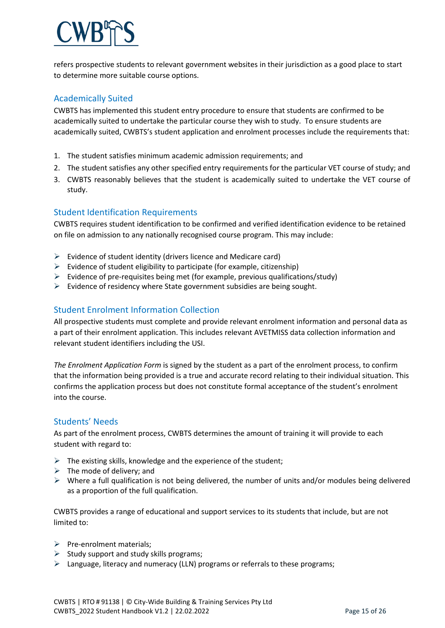refers prospective students to relevant government websites in their jurisdiction as a good place to start to determine more suitable course options.

## <span id="page-14-0"></span>Academically Suited

CWBTS has implemented this student entry procedure to ensure that students are confirmed to be academically suited to undertake the particular course they wish to study. To ensure students are academically suited, CWBTS's student application and enrolment processes include the requirements that:

- 1. The student satisfies minimum academic admission requirements; and
- 2. The student satisfies any other specified entry requirements for the particular VET course of study; and
- 3. CWBTS reasonably believes that the student is academically suited to undertake the VET course of study.

#### <span id="page-14-1"></span>Student Identification Requirements

CWBTS requires student identification to be confirmed and verified identification evidence to be retained on file on admission to any nationally recognised course program. This may include:

- $\triangleright$  Evidence of student identity (drivers licence and Medicare card)
- $\triangleright$  Evidence of student eligibility to participate (for example, citizenship)
- $\triangleright$  Evidence of pre-requisites being met (for example, previous qualifications/study)
- $\triangleright$  Evidence of residency where State government subsidies are being sought.

## <span id="page-14-2"></span>Student Enrolment Information Collection

All prospective students must complete and provide relevant enrolment information and personal data as a part of their enrolment application. This includes relevant AVETMISS data collection information and relevant student identifiers including the USI.

*The Enrolment Application Form* is signed by the student as a part of the enrolment process, to confirm that the information being provided is a true and accurate record relating to their individual situation. This confirms the application process but does not constitute formal acceptance of the student's enrolment into the course.

#### <span id="page-14-3"></span>Students' Needs

As part of the enrolment process, CWBTS determines the amount of training it will provide to each student with regard to:

- $\triangleright$  The existing skills, knowledge and the experience of the student;
- $\triangleright$  The mode of delivery; and
- $\triangleright$  Where a full qualification is not being delivered, the number of units and/or modules being delivered as a proportion of the full qualification.

CWBTS provides a range of educational and support services to its students that include, but are not limited to:

- $\triangleright$  Pre-enrolment materials:
- $\triangleright$  Study support and study skills programs;
- $\triangleright$  Language, literacy and numeracy (LLN) programs or referrals to these programs;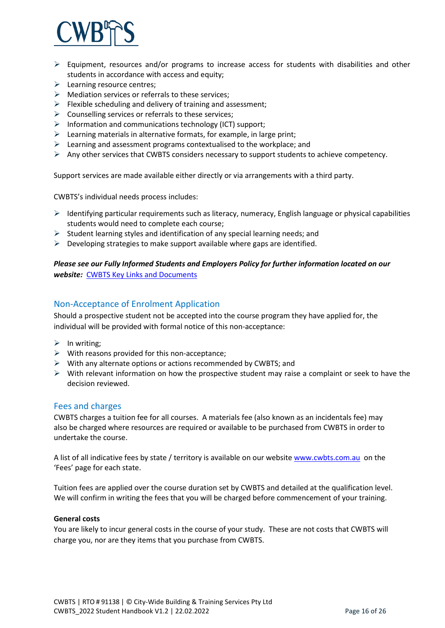

- $\triangleright$  Equipment, resources and/or programs to increase access for students with disabilities and other students in accordance with access and equity;
- $\triangleright$  Learning resource centres;
- $\triangleright$  Mediation services or referrals to these services;
- $\triangleright$  Flexible scheduling and delivery of training and assessment;
- $\triangleright$  Counselling services or referrals to these services;
- $\triangleright$  Information and communications technology (ICT) support;
- $\triangleright$  Learning materials in alternative formats, for example, in large print;
- $\triangleright$  Learning and assessment programs contextualised to the workplace; and
- $\triangleright$  Any other services that CWBTS considers necessary to support students to achieve competency.

Support services are made available either directly or via arrangements with a third party.

CWBTS's individual needs process includes:

- $\triangleright$  Identifying particular requirements such as literacy, numeracy, English language or physical capabilities students would need to complete each course;
- $\triangleright$  Student learning styles and identification of any special learning needs; and
- $\triangleright$  Developing strategies to make support available where gaps are identified.

*Please see our Fully Informed Students and Employers Policy for further information located on our website:* [CWBTS Key Links and Documents](https://cwbts.com.au/key-links-and-documents/)

#### <span id="page-15-0"></span>Non-Acceptance of Enrolment Application

Should a prospective student not be accepted into the course program they have applied for, the individual will be provided with formal notice of this non-acceptance:

- $\triangleright$  In writing;
- $\triangleright$  With reasons provided for this non-acceptance;
- $\triangleright$  With any alternate options or actions recommended by CWBTS; and
- $\triangleright$  With relevant information on how the prospective student may raise a complaint or seek to have the decision reviewed.

#### <span id="page-15-1"></span>Fees and charges

CWBTS charges a tuition fee for all courses. A materials fee (also known as an incidentals fee) may also be charged where resources are required or available to be purchased from CWBTS in order to undertake the course.

A list of all indicative fees by state / territory is available on our website [www.cwbts.com.au](http://www.cwbts.com.au/) on the 'Fees' page for each state.

Tuition fees are applied over the course duration set by CWBTS and detailed at the qualification level. We will confirm in writing the fees that you will be charged before commencement of your training.

#### **General costs**

You are likely to incur general costs in the course of your study. These are not costs that CWBTS will charge you, nor are they items that you purchase from CWBTS.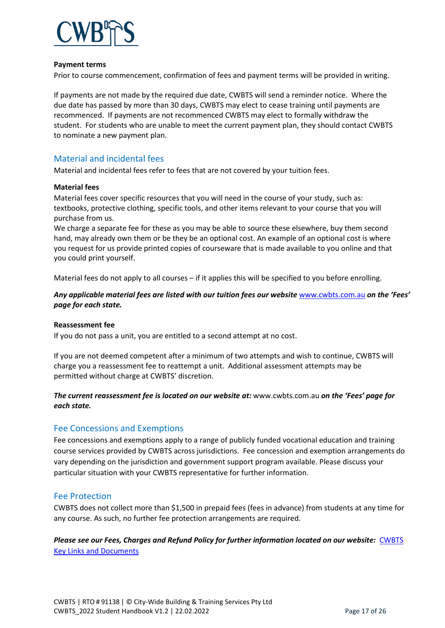

#### **Payment terms**

Prior to course commencement, confirmation of fees and payment terms will be provided in writing.

If payments are not made by the required due date, CWBTS will send a reminder notice. Where the due date has passed by more than 30 days, CWBTS may elect to cease training until payments are recommenced. If payments are not recommenced CWBTS may elect to formally withdraw the student. For students who are unable to meet the current payment plan, they should contact CWBTS to nominate a new payment plan.

#### <span id="page-16-0"></span>Material and incidental fees

Material and incidental fees refer to fees that are not covered by your tuition fees.

#### **Material fees**

Material fees cover specific resources that you will need in the course of your study, such as: textbooks, protective clothing, specific tools, and other items relevant to your course that you will purchase from us.

We charge a separate fee for these as you may be able to source these elsewhere, buy them second hand, may already own them or be they be an optional cost. An example of an optional cost is where you request for us provide printed copies of courseware that is made available to you online and that you could print yourself.

Material fees do not apply to all courses – if it applies this will be specified to you before enrolling.

#### *Any applicable material fees are listed with our tuition fees our website* [www.cwbts.com.au](http://www.cwbts.com.au/) *on the 'Fees' page for each state.*

#### **Reassessment fee**

If you do not pass a unit, you are entitled to a second attempt at no cost.

If you are not deemed competent after a minimum of two attempts and wish to continue, CWBTS will charge you a reassessment fee to reattempt a unit. Additional assessment attempts may be permitted without charge at CWBTS' discretion.

#### *The current reassessment fee is located on our website at:* [www.cwbts.com.au](http://www.cwbts.com.au/) *on the 'Fees' page for each state.*

#### <span id="page-16-1"></span>Fee Concessions and Exemptions

Fee concessions and exemptions apply to a range of publicly funded vocational education and training course services provided by CWBTS across jurisdictions. Fee concession and exemption arrangements do vary depending on the jurisdiction and government support program available. Please discuss your particular situation with your CWBTS representative for further information.

#### <span id="page-16-2"></span>Fee Protection

CWBTS does not collect more than \$1,500 in prepaid fees (fees in advance) from students at any time for any course. As such, no further fee protection arrangements are required.

*Please see our Fees, Charges and Refund Policy for further information located on our website:* [CWBTS](https://cwbts.com.au/key-links-and-documents/)  [Key Links and Documents](https://cwbts.com.au/key-links-and-documents/)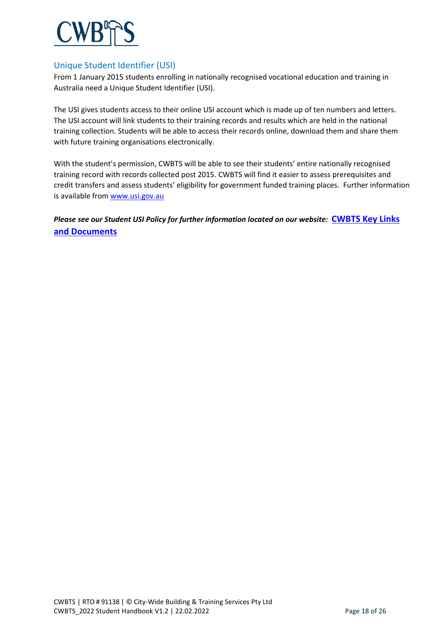

#### <span id="page-17-0"></span>Unique Student Identifier (USI)

From 1 January 2015 students enrolling in nationally recognised vocational education and training in Australia need a Unique Student Identifier (USI).

The USI gives students access to their online USI account which is made up of ten numbers and letters. The USI account will link students to their training records and results which are held in the national training collection. Students will be able to access their records online, download them and share them with future training organisations electronically.

With the student's permission, CWBTS will be able to see their students' entire nationally recognised training record with records collected post 2015. CWBTS will find it easier to assess prerequisites and credit transfers and assess students' eligibility for government funded training places. Further information is available fro[m www.usi.gov.au](http://www.usi.gov.au/)

*Please see our Student USI Policy for further information located on our website:* **[CWBTS Key Links](https://cwbts.com.au/key-links-and-documents/)  [and Documents](https://cwbts.com.au/key-links-and-documents/)**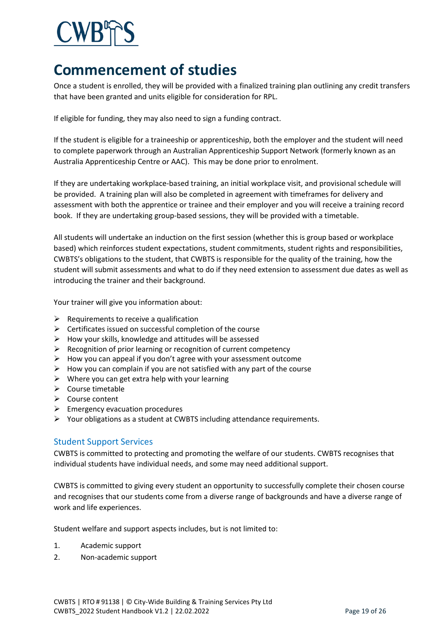# <span id="page-18-0"></span>**Commencement of studies**

Once a student is enrolled, they will be provided with a finalized training plan outlining any credit transfers that have been granted and units eligible for consideration for RPL.

If eligible for funding, they may also need to sign a funding contract.

If the student is eligible for a traineeship or apprenticeship, both the employer and the student will need to complete paperwork through an Australian Apprenticeship Support Network (formerly known as an Australia Apprenticeship Centre or AAC). This may be done prior to enrolment.

If they are undertaking workplace-based training, an initial workplace visit, and provisional schedule will be provided. A training plan will also be completed in agreement with timeframes for delivery and assessment with both the apprentice or trainee and their employer and you will receive a training record book. If they are undertaking group-based sessions, they will be provided with a timetable.

All students will undertake an induction on the first session (whether this is group based or workplace based) which reinforces student expectations, student commitments, student rights and responsibilities, CWBTS's obligations to the student, that CWBTS is responsible for the quality of the training, how the student will submit assessments and what to do if they need extension to assessment due dates as well as introducing the trainer and their background.

Your trainer will give you information about:

- $\triangleright$  Requirements to receive a qualification
- $\triangleright$  Certificates issued on successful completion of the course
- $\triangleright$  How your skills, knowledge and attitudes will be assessed
- $\triangleright$  Recognition of prior learning or recognition of current competency
- $\triangleright$  How you can appeal if you don't agree with your assessment outcome
- $\triangleright$  How you can complain if you are not satisfied with any part of the course
- $\triangleright$  Where you can get extra help with your learning
- $\triangleright$  Course timetable
- $\triangleright$  Course content
- $\triangleright$  Emergency evacuation procedures
- $\triangleright$  Your obligations as a student at CWBTS including attendance requirements.

#### <span id="page-18-1"></span>Student Support Services

CWBTS is committed to protecting and promoting the welfare of our students. CWBTS recognises that individual students have individual needs, and some may need additional support.

CWBTS is committed to giving every student an opportunity to successfully complete their chosen course and recognises that our students come from a diverse range of backgrounds and have a diverse range of work and life experiences.

Student welfare and support aspects includes, but is not limited to:

- 1. Academic support
- 2. Non-academic support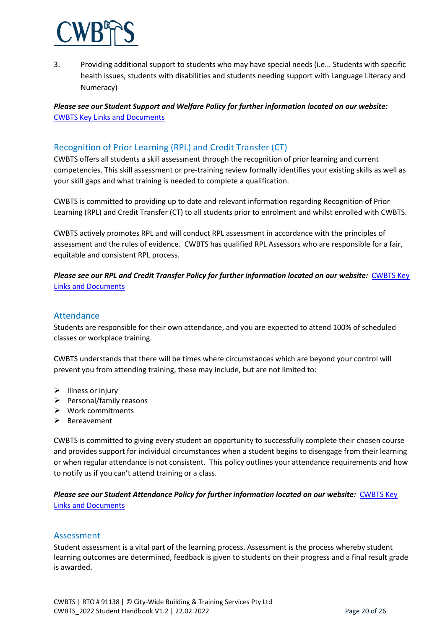

3. Providing additional support to students who may have special needs (i.e... Students with specific health issues, students with disabilities and students needing support with Language Literacy and Numeracy)

#### *Please see our Student Support and Welfare Policy for further information located on our website:* [CWBTS Key Links and Documents](https://cwbts.com.au/key-links-and-documents/)

#### <span id="page-19-0"></span>Recognition of Prior Learning (RPL) and Credit Transfer (CT)

CWBTS offers all students a skill assessment through the recognition of prior learning and current competencies. This skill assessment or pre-training review formally identifies your existing skills as well as your skill gaps and what training is needed to complete a qualification.

CWBTS is committed to providing up to date and relevant information regarding Recognition of Prior Learning (RPL) and Credit Transfer (CT) to all students prior to enrolment and whilst enrolled with CWBTS.

CWBTS actively promotes RPL and will conduct RPL assessment in accordance with the principles of assessment and the rules of evidence. CWBTS has qualified RPL Assessors who are responsible for a fair, equitable and consistent RPL process.

*Please see our RPL and Credit Transfer Policy for further information located on our website:* [CWBTS Key](https://cwbts.com.au/key-links-and-documents/)  [Links and Documents](https://cwbts.com.au/key-links-and-documents/)

#### <span id="page-19-1"></span>Attendance

Students are responsible for their own attendance, and you are expected to attend 100% of scheduled classes or workplace training.

CWBTS understands that there will be times where circumstances which are beyond your control will prevent you from attending training, these may include, but are not limited to:

- $\triangleright$  Illness or injury
- $\triangleright$  Personal/family reasons
- $\triangleright$  Work commitments
- $\triangleright$  Bereavement

CWBTS is committed to giving every student an opportunity to successfully complete their chosen course and provides support for individual circumstances when a student begins to disengage from their learning or when regular attendance is not consistent. This policy outlines your attendance requirements and how to notify us if you can't attend training or a class.

*Please see our Student Attendance Policy for further information located on our website:* [CWBTS Key](https://cwbts.com.au/key-links-and-documents/)  [Links and Documents](https://cwbts.com.au/key-links-and-documents/)

#### <span id="page-19-2"></span>Assessment

Student assessment is a vital part of the learning process. Assessment is the process whereby student learning outcomes are determined, feedback is given to students on their progress and a final result grade is awarded.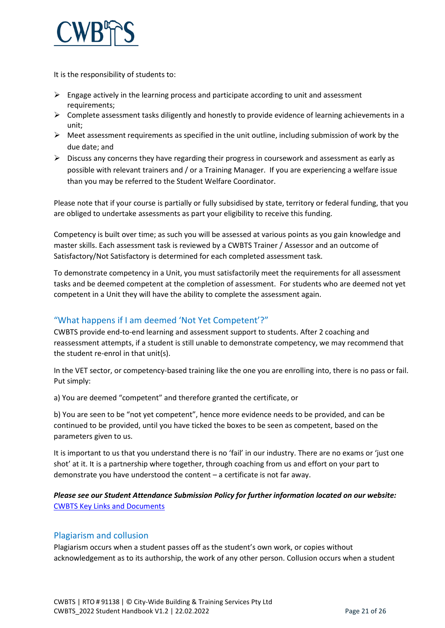

It is the responsibility of students to:

- $\triangleright$  Engage actively in the learning process and participate according to unit and assessment requirements;
- $\triangleright$  Complete assessment tasks diligently and honestly to provide evidence of learning achievements in a unit;
- $\triangleright$  Meet assessment requirements as specified in the unit outline, including submission of work by the due date; and
- $\triangleright$  Discuss any concerns they have regarding their progress in coursework and assessment as early as possible with relevant trainers and / or a Training Manager. If you are experiencing a welfare issue than you may be referred to the Student Welfare Coordinator.

Please note that if your course is partially or fully subsidised by state, territory or federal funding, that you are obliged to undertake assessments as part your eligibility to receive this funding.

Competency is built over time; as such you will be assessed at various points as you gain knowledge and master skills. Each assessment task is reviewed by a CWBTS Trainer / Assessor and an outcome of Satisfactory/Not Satisfactory is determined for each completed assessment task.

To demonstrate competency in a Unit, you must satisfactorily meet the requirements for all assessment tasks and be deemed competent at the completion of assessment. For students who are deemed not yet competent in a Unit they will have the ability to complete the assessment again.

## <span id="page-20-0"></span>"What happens if I am deemed 'Not Yet Competent'?"

CWBTS provide end-to-end learning and assessment support to students. After 2 coaching and reassessment attempts, if a student is still unable to demonstrate competency, we may recommend that the student re-enrol in that unit(s).

In the VET sector, or competency-based training like the one you are enrolling into, there is no pass or fail. Put simply:

a) You are deemed "competent" and therefore granted the certificate, or

b) You are seen to be "not yet competent", hence more evidence needs to be provided, and can be continued to be provided, until you have ticked the boxes to be seen as competent, based on the parameters given to us.

It is important to us that you understand there is no 'fail' in our industry. There are no exams or 'just one shot' at it. It is a partnership where together, through coaching from us and effort on your part to demonstrate you have understood the content – a certificate is not far away.

#### *Please see our Student Attendance Submission Policy for further information located on our website:* [CWBTS Key Links and Documents](https://cwbts.com.au/key-links-and-documents/)

#### <span id="page-20-1"></span>Plagiarism and collusion

Plagiarism occurs when a student passes off as the student's own work, or copies without acknowledgement as to its authorship, the work of any other person. Collusion occurs when a student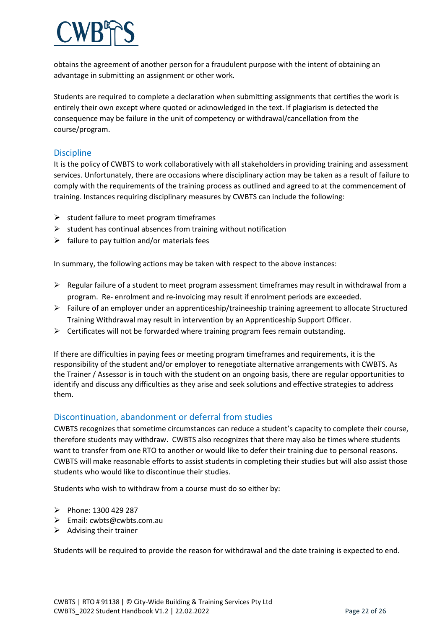obtains the agreement of another person for a fraudulent purpose with the intent of obtaining an advantage in submitting an assignment or other work.

Students are required to complete a declaration when submitting assignments that certifies the work is entirely their own except where quoted or acknowledged in the text. If plagiarism is detected the consequence may be failure in the unit of competency or withdrawal/cancellation from the course/program.

#### <span id="page-21-0"></span>**Discipline**

It is the policy of CWBTS to work collaboratively with all stakeholders in providing training and assessment services. Unfortunately, there are occasions where disciplinary action may be taken as a result of failure to comply with the requirements of the training process as outlined and agreed to at the commencement of training. Instances requiring disciplinary measures by CWBTS can include the following:

- $\triangleright$  student failure to meet program timeframes
- $\triangleright$  student has continual absences from training without notification
- $\triangleright$  failure to pay tuition and/or materials fees

In summary, the following actions may be taken with respect to the above instances:

- $\triangleright$  Regular failure of a student to meet program assessment timeframes may result in withdrawal from a program. Re- enrolment and re-invoicing may result if enrolment periods are exceeded.
- $\triangleright$  Failure of an employer under an apprenticeship/traineeship training agreement to allocate Structured Training Withdrawal may result in intervention by an Apprenticeship Support Officer.
- $\triangleright$  Certificates will not be forwarded where training program fees remain outstanding.

If there are difficulties in paying fees or meeting program timeframes and requirements, it is the responsibility of the student and/or employer to renegotiate alternative arrangements with CWBTS. As the Trainer / Assessor is in touch with the student on an ongoing basis, there are regular opportunities to identify and discuss any difficulties as they arise and seek solutions and effective strategies to address them.

#### <span id="page-21-1"></span>Discontinuation, abandonment or deferral from studies

CWBTS recognizes that sometime circumstances can reduce a student's capacity to complete their course, therefore students may withdraw. CWBTS also recognizes that there may also be times where students want to transfer from one RTO to another or would like to defer their training due to personal reasons. CWBTS will make reasonable efforts to assist students in completing their studies but will also assist those students who would like to discontinue their studies.

Students who wish to withdraw from a course must do so either by:

- $\triangleright$  Phone: 1300 429 287
- Email: cwbts@cwbts.com.au
- $\triangleright$  Advising their trainer

Students will be required to provide the reason for withdrawal and the date training is expected to end.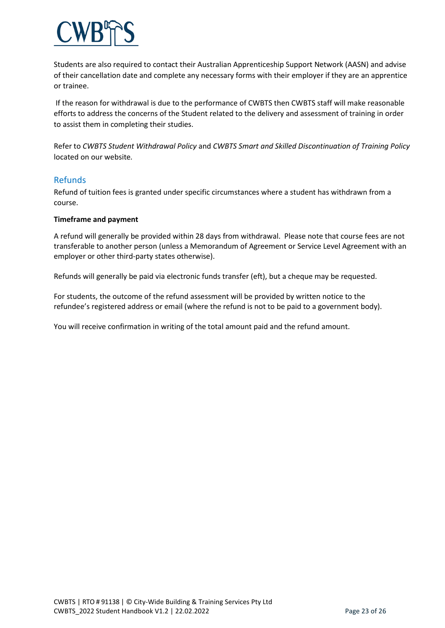

Students are also required to contact their Australian Apprenticeship Support Network (AASN) and advise of their cancellation date and complete any necessary forms with their employer if they are an apprentice or trainee.

If the reason for withdrawal is due to the performance of CWBTS then CWBTS staff will make reasonable efforts to address the concerns of the Student related to the delivery and assessment of training in order to assist them in completing their studies.

Refer to *CWBTS Student Withdrawal Policy* and *CWBTS Smart and Skilled Discontinuation of Training Policy* located on our website*.*

#### <span id="page-22-0"></span>Refunds

Refund of tuition fees is granted under specific circumstances where a student has withdrawn from a course.

#### **Timeframe and payment**

A refund will generally be provided within 28 days from withdrawal. Please note that course fees are not transferable to another person (unless a Memorandum of Agreement or Service Level Agreement with an employer or other third-party states otherwise).

Refunds will generally be paid via electronic funds transfer (eft), but a cheque may be requested.

For students, the outcome of the refund assessment will be provided by written notice to the refundee's registered address or email (where the refund is not to be paid to a government body).

You will receive confirmation in writing of the total amount paid and the refund amount.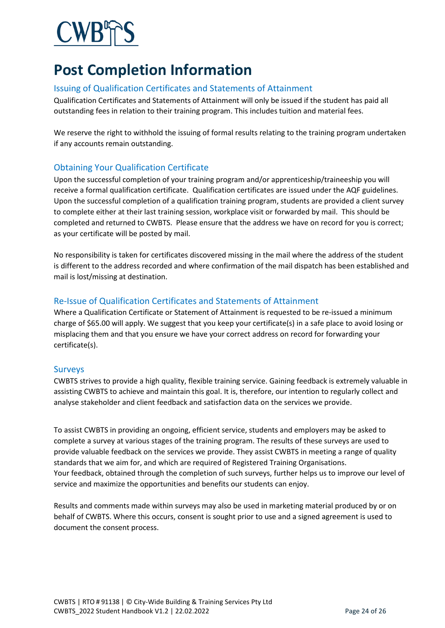# <span id="page-23-0"></span>**Post Completion Information**

## <span id="page-23-1"></span>Issuing of Qualification Certificates and Statements of Attainment

Qualification Certificates and Statements of Attainment will only be issued if the student has paid all outstanding fees in relation to their training program. This includes tuition and material fees.

We reserve the right to withhold the issuing of formal results relating to the training program undertaken if any accounts remain outstanding.

## <span id="page-23-2"></span>Obtaining Your Qualification Certificate

Upon the successful completion of your training program and/or apprenticeship/traineeship you will receive a formal qualification certificate. Qualification certificates are issued under the AQF guidelines. Upon the successful completion of a qualification training program, students are provided a client survey to complete either at their last training session, workplace visit or forwarded by mail. This should be completed and returned to CWBTS. Please ensure that the address we have on record for you is correct; as your certificate will be posted by mail.

No responsibility is taken for certificates discovered missing in the mail where the address of the student is different to the address recorded and where confirmation of the mail dispatch has been established and mail is lost/missing at destination.

## <span id="page-23-3"></span>Re-Issue of Qualification Certificates and Statements of Attainment

Where a Qualification Certificate or Statement of Attainment is requested to be re-issued a minimum charge of \$65.00 will apply. We suggest that you keep your certificate(s) in a safe place to avoid losing or misplacing them and that you ensure we have your correct address on record for forwarding your certificate(s).

#### <span id="page-23-4"></span>Surveys

CWBTS strives to provide a high quality, flexible training service. Gaining feedback is extremely valuable in assisting CWBTS to achieve and maintain this goal. It is, therefore, our intention to regularly collect and analyse stakeholder and client feedback and satisfaction data on the services we provide.

To assist CWBTS in providing an ongoing, efficient service, students and employers may be asked to complete a survey at various stages of the training program. The results of these surveys are used to provide valuable feedback on the services we provide. They assist CWBTS in meeting a range of quality standards that we aim for, and which are required of Registered Training Organisations. Your feedback, obtained through the completion of such surveys, further helps us to improve our level of service and maximize the opportunities and benefits our students can enjoy.

Results and comments made within surveys may also be used in marketing material produced by or on behalf of CWBTS. Where this occurs, consent is sought prior to use and a signed agreement is used to document the consent process.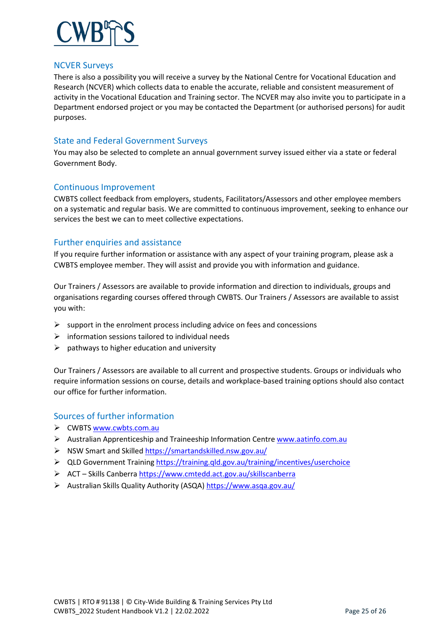

#### <span id="page-24-0"></span>NCVER Surveys

There is also a possibility you will receive a survey by the National Centre for Vocational Education and Research (NCVER) which collects data to enable the accurate, reliable and consistent measurement of activity in the Vocational Education and Training sector. The NCVER may also invite you to participate in a Department endorsed project or you may be contacted the Department (or authorised persons) for audit purposes.

#### <span id="page-24-1"></span>State and Federal Government Surveys

You may also be selected to complete an annual government survey issued either via a state or federal Government Body.

#### <span id="page-24-2"></span>Continuous Improvement

CWBTS collect feedback from employers, students, Facilitators/Assessors and other employee members on a systematic and regular basis. We are committed to continuous improvement, seeking to enhance our services the best we can to meet collective expectations.

#### <span id="page-24-3"></span>Further enquiries and assistance

If you require further information or assistance with any aspect of your training program, please ask a CWBTS employee member. They will assist and provide you with information and guidance.

Our Trainers / Assessors are available to provide information and direction to individuals, groups and organisations regarding courses offered through CWBTS. Our Trainers / Assessors are available to assist you with:

- $\triangleright$  support in the enrolment process including advice on fees and concessions
- $\triangleright$  information sessions tailored to individual needs
- $\triangleright$  pathways to higher education and university

Our Trainers / Assessors are available to all current and prospective students. Groups or individuals who require information sessions on course, details and workplace-based training options should also contact our office for further information.

#### <span id="page-24-4"></span>Sources of further information

- ▶ CWBTS [www.cwbts.com.au](http://www.cwbts.com.au/)
- Australian Apprenticeship and Traineeship Information Centr[e www.aatinfo.com.au](http://www.aatinfo.com.au/)
- NSW Smart and Skilled<https://smartandskilled.nsw.gov.au/>
- $\triangleright$  QLD Government Training<https://training.qld.gov.au/training/incentives/userchoice>
- ACT Skills Canberra<https://www.cmtedd.act.gov.au/skillscanberra>
- Australian Skills Quality Authority (ASQA)<https://www.asqa.gov.au/>